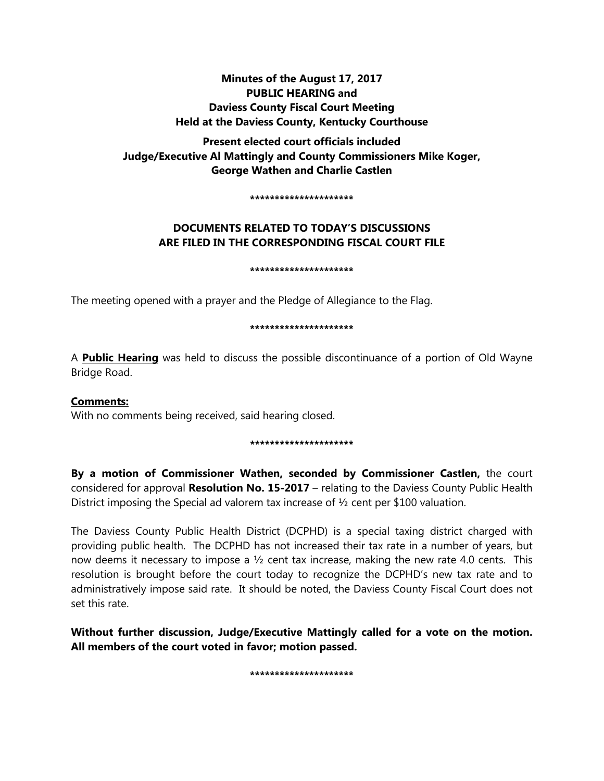# **Minutes of the August 17, 2017 PUBLIC HEARING and Daviess County Fiscal Court Meeting Held at the Daviess County, Kentucky Courthouse**

**Present elected court officials included Judge/Executive Al Mattingly and County Commissioners Mike Koger, George Wathen and Charlie Castlen** 

**\*\*\*\*\*\*\*\*\*\*\*\*\*\*\*\*\*\*\*\*\***

# **DOCUMENTS RELATED TO TODAY'S DISCUSSIONS ARE FILED IN THE CORRESPONDING FISCAL COURT FILE**

#### **\*\*\*\*\*\*\*\*\*\*\*\*\*\*\*\*\*\*\*\*\***

The meeting opened with a prayer and the Pledge of Allegiance to the Flag.

### **\*\*\*\*\*\*\*\*\*\*\*\*\*\*\*\*\*\*\*\*\***

A **Public Hearing** was held to discuss the possible discontinuance of a portion of Old Wayne Bridge Road.

# **Comments:**

With no comments being received, said hearing closed.

## **\*\*\*\*\*\*\*\*\*\*\*\*\*\*\*\*\*\*\*\*\***

**By a motion of Commissioner Wathen, seconded by Commissioner Castlen,** the court considered for approval **Resolution No. 15-2017** – relating to the Daviess County Public Health District imposing the Special ad valorem tax increase of ½ cent per \$100 valuation.

The Daviess County Public Health District (DCPHD) is a special taxing district charged with providing public health. The DCPHD has not increased their tax rate in a number of years, but now deems it necessary to impose a  $\frac{1}{2}$  cent tax increase, making the new rate 4.0 cents. This resolution is brought before the court today to recognize the DCPHD's new tax rate and to administratively impose said rate. It should be noted, the Daviess County Fiscal Court does not set this rate.

**Without further discussion, Judge/Executive Mattingly called for a vote on the motion. All members of the court voted in favor; motion passed.** 

**\*\*\*\*\*\*\*\*\*\*\*\*\*\*\*\*\*\*\*\*\***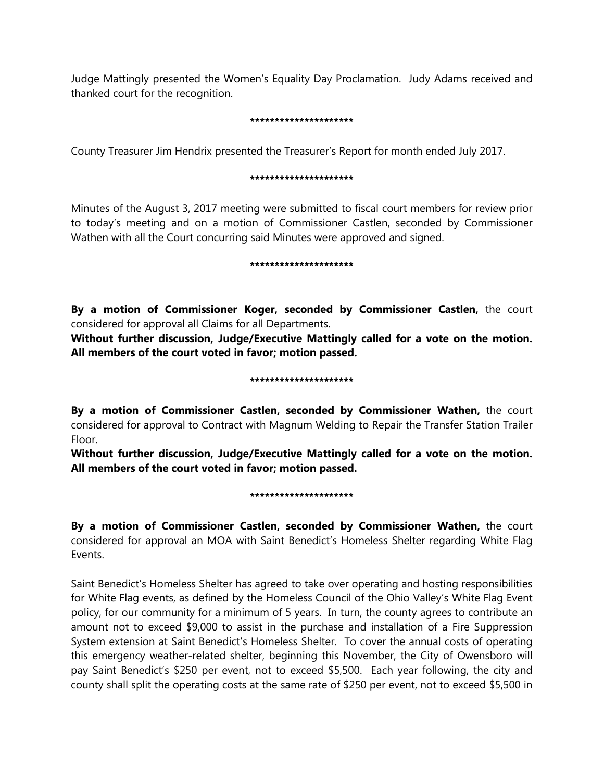Judge Mattingly presented the Women's Equality Day Proclamation. Judy Adams received and thanked court for the recognition.

### **\*\*\*\*\*\*\*\*\*\*\*\*\*\*\*\*\*\*\*\*\***

County Treasurer Jim Hendrix presented the Treasurer's Report for month ended July 2017.

### **\*\*\*\*\*\*\*\*\*\*\*\*\*\*\*\*\*\*\*\*\***

Minutes of the August 3, 2017 meeting were submitted to fiscal court members for review prior to today's meeting and on a motion of Commissioner Castlen, seconded by Commissioner Wathen with all the Court concurring said Minutes were approved and signed.

#### **\*\*\*\*\*\*\*\*\*\*\*\*\*\*\*\*\*\*\*\*\***

**By a motion of Commissioner Koger, seconded by Commissioner Castlen,** the court considered for approval all Claims for all Departments.

**Without further discussion, Judge/Executive Mattingly called for a vote on the motion. All members of the court voted in favor; motion passed.** 

### **\*\*\*\*\*\*\*\*\*\*\*\*\*\*\*\*\*\*\*\*\***

**By a motion of Commissioner Castlen, seconded by Commissioner Wathen,** the court considered for approval to Contract with Magnum Welding to Repair the Transfer Station Trailer Floor.

**Without further discussion, Judge/Executive Mattingly called for a vote on the motion. All members of the court voted in favor; motion passed.** 

#### **\*\*\*\*\*\*\*\*\*\*\*\*\*\*\*\*\*\*\*\*\***

**By a motion of Commissioner Castlen, seconded by Commissioner Wathen,** the court considered for approval an MOA with Saint Benedict's Homeless Shelter regarding White Flag Events.

Saint Benedict's Homeless Shelter has agreed to take over operating and hosting responsibilities for White Flag events, as defined by the Homeless Council of the Ohio Valley's White Flag Event policy, for our community for a minimum of 5 years. In turn, the county agrees to contribute an amount not to exceed \$9,000 to assist in the purchase and installation of a Fire Suppression System extension at Saint Benedict's Homeless Shelter. To cover the annual costs of operating this emergency weather-related shelter, beginning this November, the City of Owensboro will pay Saint Benedict's \$250 per event, not to exceed \$5,500. Each year following, the city and county shall split the operating costs at the same rate of \$250 per event, not to exceed \$5,500 in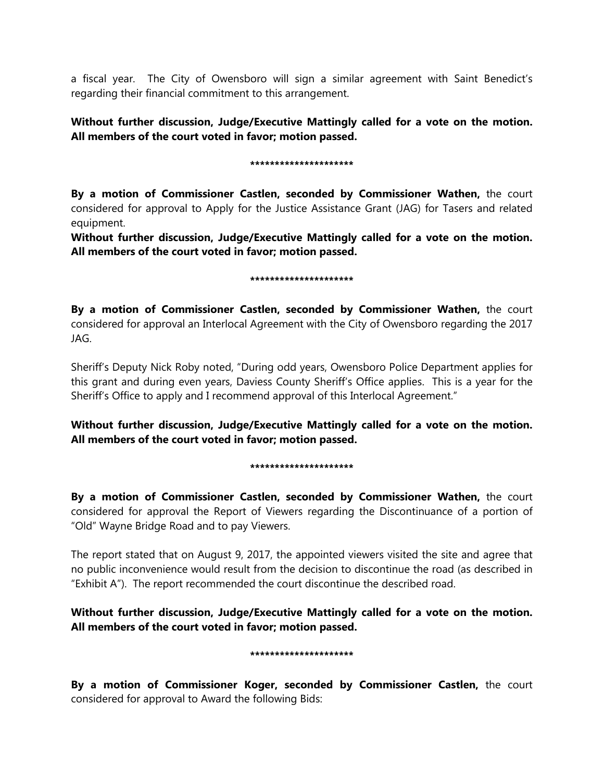a fiscal year. The City of Owensboro will sign a similar agreement with Saint Benedict's regarding their financial commitment to this arrangement.

# **Without further discussion, Judge/Executive Mattingly called for a vote on the motion. All members of the court voted in favor; motion passed.**

### **\*\*\*\*\*\*\*\*\*\*\*\*\*\*\*\*\*\*\*\*\***

**By a motion of Commissioner Castlen, seconded by Commissioner Wathen,** the court considered for approval to Apply for the Justice Assistance Grant (JAG) for Tasers and related equipment.

**Without further discussion, Judge/Executive Mattingly called for a vote on the motion. All members of the court voted in favor; motion passed.** 

### **\*\*\*\*\*\*\*\*\*\*\*\*\*\*\*\*\*\*\*\*\***

**By a motion of Commissioner Castlen, seconded by Commissioner Wathen,** the court considered for approval an Interlocal Agreement with the City of Owensboro regarding the 2017 JAG.

Sheriff's Deputy Nick Roby noted, "During odd years, Owensboro Police Department applies for this grant and during even years, Daviess County Sheriff's Office applies. This is a year for the Sheriff's Office to apply and I recommend approval of this Interlocal Agreement."

**Without further discussion, Judge/Executive Mattingly called for a vote on the motion. All members of the court voted in favor; motion passed.** 

## **\*\*\*\*\*\*\*\*\*\*\*\*\*\*\*\*\*\*\*\*\***

**By a motion of Commissioner Castlen, seconded by Commissioner Wathen,** the court considered for approval the Report of Viewers regarding the Discontinuance of a portion of "Old" Wayne Bridge Road and to pay Viewers.

The report stated that on August 9, 2017, the appointed viewers visited the site and agree that no public inconvenience would result from the decision to discontinue the road (as described in "Exhibit A"). The report recommended the court discontinue the described road.

**Without further discussion, Judge/Executive Mattingly called for a vote on the motion. All members of the court voted in favor; motion passed.** 

#### **\*\*\*\*\*\*\*\*\*\*\*\*\*\*\*\*\*\*\*\*\***

**By a motion of Commissioner Koger, seconded by Commissioner Castlen,** the court considered for approval to Award the following Bids: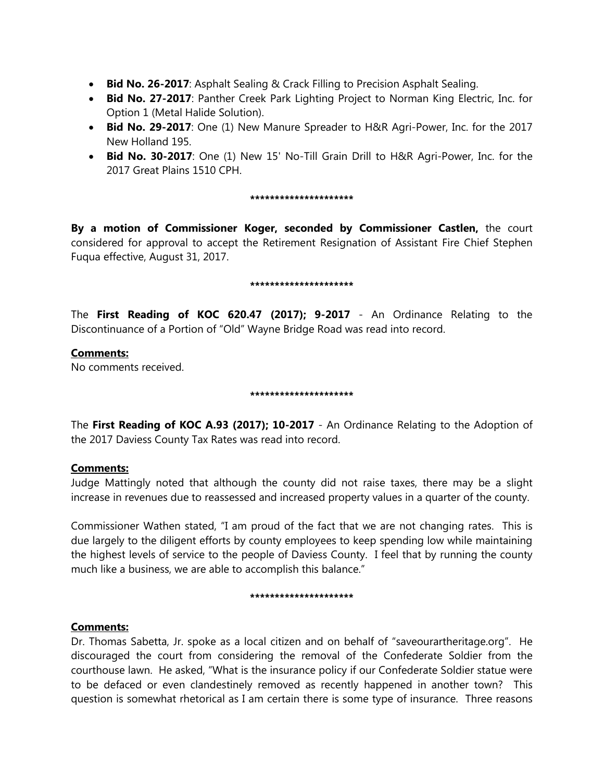- **Bid No. 26-2017**: Asphalt Sealing & Crack Filling to Precision Asphalt Sealing.
- **Bid No. 27-2017**: Panther Creek Park Lighting Project to Norman King Electric, Inc. for Option 1 (Metal Halide Solution).
- **Bid No. 29-2017**: One (1) New Manure Spreader to H&R Agri-Power, Inc. for the 2017 New Holland 195.
- **Bid No. 30-2017**: One (1) New 15' No-Till Grain Drill to H&R Agri-Power, Inc. for the 2017 Great Plains 1510 CPH.

#### **\*\*\*\*\*\*\*\*\*\*\*\*\*\*\*\*\*\*\*\*\***

**By a motion of Commissioner Koger, seconded by Commissioner Castlen,** the court considered for approval to accept the Retirement Resignation of Assistant Fire Chief Stephen Fuqua effective, August 31, 2017.

#### **\*\*\*\*\*\*\*\*\*\*\*\*\*\*\*\*\*\*\*\*\***

The **First Reading of KOC 620.47 (2017); 9-2017** - An Ordinance Relating to the Discontinuance of a Portion of "Old" Wayne Bridge Road was read into record.

## **Comments:**

No comments received.

### **\*\*\*\*\*\*\*\*\*\*\*\*\*\*\*\*\*\*\*\*\***

The **First Reading of KOC A.93 (2017); 10-2017** - An Ordinance Relating to the Adoption of the 2017 Daviess County Tax Rates was read into record.

# **Comments:**

Judge Mattingly noted that although the county did not raise taxes, there may be a slight increase in revenues due to reassessed and increased property values in a quarter of the county.

Commissioner Wathen stated, "I am proud of the fact that we are not changing rates. This is due largely to the diligent efforts by county employees to keep spending low while maintaining the highest levels of service to the people of Daviess County. I feel that by running the county much like a business, we are able to accomplish this balance."

#### **\*\*\*\*\*\*\*\*\*\*\*\*\*\*\*\*\*\*\*\*\***

# **Comments:**

Dr. Thomas Sabetta, Jr. spoke as a local citizen and on behalf of "saveourartheritage.org". He discouraged the court from considering the removal of the Confederate Soldier from the courthouse lawn. He asked, "What is the insurance policy if our Confederate Soldier statue were to be defaced or even clandestinely removed as recently happened in another town? This question is somewhat rhetorical as I am certain there is some type of insurance. Three reasons